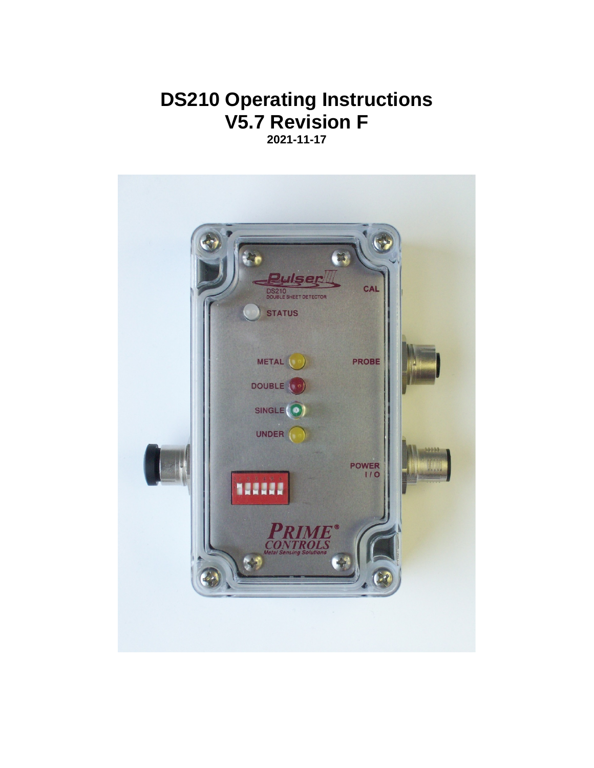# **DS210 Operating Instructions V5.7 Revision F 2021-11-17**

**Pulser** CAL 10<br>LE SHEET DETECTOR **STATUS** METAL PROBE DOUBLE SINGLE UNDER POWER 122222 **RIME**<br>TROLS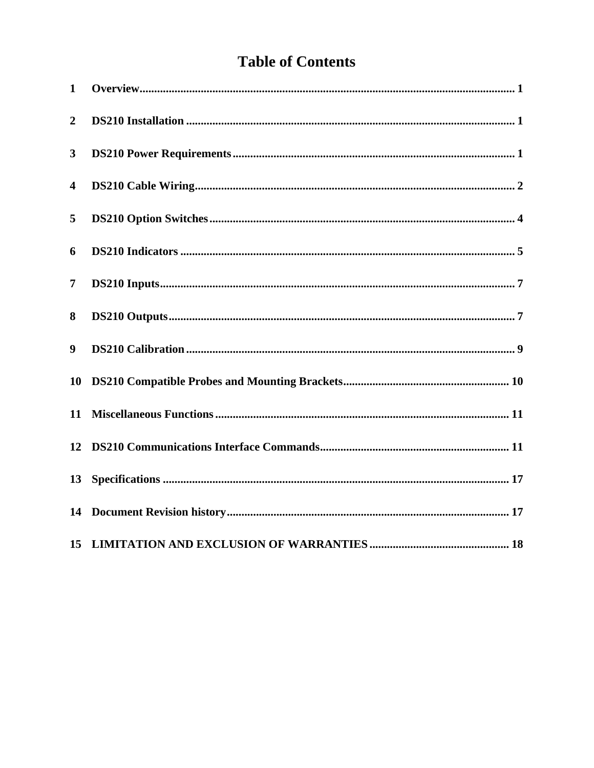# **Table of Contents**

| $\mathbf{1}$   |  |
|----------------|--|
| $\overline{2}$ |  |
| $\mathbf{3}$   |  |
| 4              |  |
| 5              |  |
| 6              |  |
| 7              |  |
| 8              |  |
| 9              |  |
| 10             |  |
| 11             |  |
|                |  |
| 13             |  |
|                |  |
|                |  |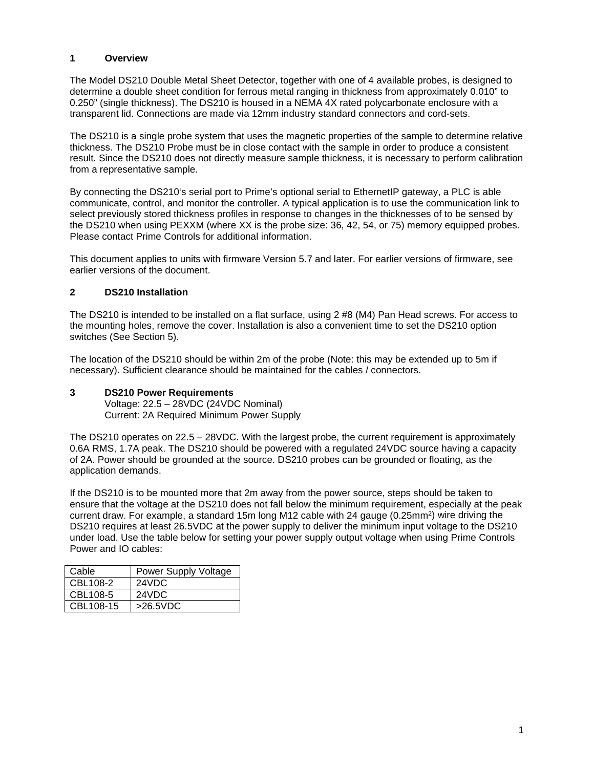## <span id="page-2-0"></span>**1 Overview**

The Model DS210 Double Metal Sheet Detector, together with one of 4 available probes, is designed to determine a double sheet condition for ferrous metal ranging in thickness from approximately 0.010" to 0.250" (single thickness). The DS210 is housed in a NEMA 4X rated polycarbonate enclosure with a transparent lid. Connections are made via 12mm industry standard connectors and cord-sets.

The DS210 is a single probe system that uses the magnetic properties of the sample to determine relative thickness. The DS210 Probe must be in close contact with the sample in order to produce a consistent result. Since the DS210 does not directly measure sample thickness, it is necessary to perform calibration from a representative sample.

By connecting the DS210's serial port to Prime's optional serial to EthernetIP gateway, a PLC is able communicate, control, and monitor the controller. A typical application is to use the communication link to select previously stored thickness profiles in response to changes in the thicknesses of to be sensed by the DS210 when using PEXXM (where XX is the probe size: 36, 42, 54, or 75) memory equipped probes. Please contact Prime Controls for additional information.

This document applies to units with firmware Version 5.7 and later. For earlier versions of firmware, see earlier versions of the document.

## <span id="page-2-1"></span>**2 DS210 Installation**

The DS210 is intended to be installed on a flat surface, using 2 #8 (M4) Pan Head screws. For access to the mounting holes, remove the cover. Installation is also a convenient time to set the DS210 option switches (See Section 5).

The location of the DS210 should be within 2m of the probe (Note: this may be extended up to 5m if necessary). Sufficient clearance should be maintained for the cables / connectors.

#### <span id="page-2-2"></span>**3 DS210 Power Requirements**

Voltage: 22.5 – 28VDC (24VDC Nominal) Current: 2A Required Minimum Power Supply

The DS210 operates on 22.5 – 28VDC. With the largest probe, the current requirement is approximately 0.6A RMS, 1.7A peak. The DS210 should be powered with a regulated 24VDC source having a capacity of 2A. Power should be grounded at the source. DS210 probes can be grounded or floating, as the application demands.

If the DS210 is to be mounted more that 2m away from the power source, steps should be taken to ensure that the voltage at the DS210 does not fall below the minimum requirement, especially at the peak current draw. For example, a standard 15m long M12 cable with 24 gauge  $(0.25 \text{mm}^2)$  wire driving the DS210 requires at least 26.5VDC at the power supply to deliver the minimum input voltage to the DS210 under load. Use the table below for setting your power supply output voltage when using Prime Controls Power and IO cables:

| Cable     | Power Supply Voltage |
|-----------|----------------------|
| CBL108-2  | 24VDC                |
| CBL108-5  | 24VDC                |
| CBL108-15 | >26.5VDC             |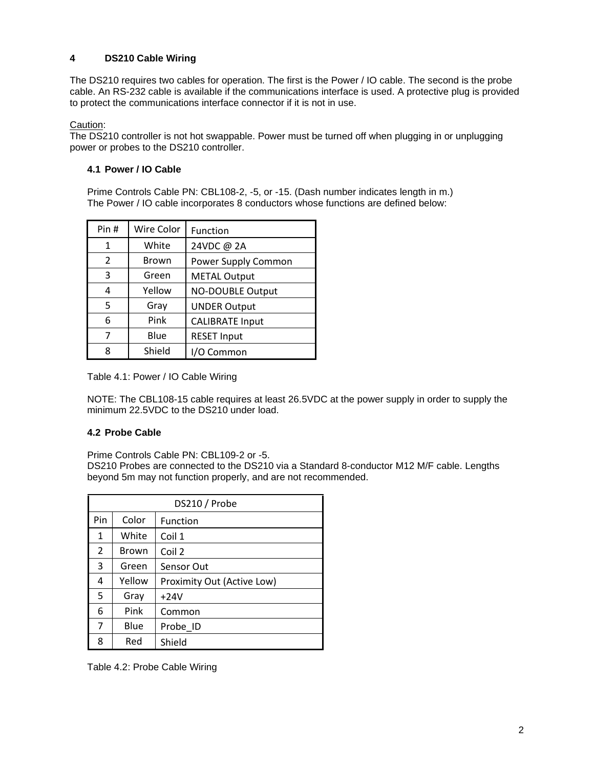# <span id="page-3-0"></span>**4 DS210 Cable Wiring**

The DS210 requires two cables for operation. The first is the Power / IO cable. The second is the probe cable. An RS-232 cable is available if the communications interface is used. A protective plug is provided to protect the communications interface connector if it is not in use.

Caution:

The DS210 controller is not hot swappable. Power must be turned off when plugging in or unplugging power or probes to the DS210 controller.

## **4.1 Power / IO Cable**

Prime Controls Cable PN: CBL108-2, -5, or -15. (Dash number indicates length in m.) The Power / IO cable incorporates 8 conductors whose functions are defined below:

| Pin # | <b>Wire Color</b> | Function                |
|-------|-------------------|-------------------------|
| 1     | White             | 24VDC @ 2A              |
| 2     | <b>Brown</b>      | Power Supply Common     |
| 3     | Green             | <b>METAL Output</b>     |
| 4     | Yellow            | <b>NO-DOUBLE Output</b> |
| 5     | Gray              | <b>UNDER Output</b>     |
| 6     | Pink              | <b>CALIBRATE Input</b>  |
| 7     | Blue              | <b>RESET Input</b>      |
| ጸ     | Shield            | I/O Common              |

Table 4.1: Power / IO Cable Wiring

NOTE: The CBL108-15 cable requires at least 26.5VDC at the power supply in order to supply the minimum 22.5VDC to the DS210 under load.

## **4.2 Probe Cable**

Prime Controls Cable PN: CBL109-2 or -5.

DS210 Probes are connected to the DS210 via a Standard 8-conductor M12 M/F cable. Lengths beyond 5m may not function properly, and are not recommended.

|                | DS210 / Probe |                            |  |  |  |
|----------------|---------------|----------------------------|--|--|--|
| Pin            | Color         | <b>Function</b>            |  |  |  |
| 1              | White         | Coil 1                     |  |  |  |
| $\overline{2}$ | <b>Brown</b>  | Coil 2                     |  |  |  |
| 3              | Green         | Sensor Out                 |  |  |  |
| 4              | Yellow        | Proximity Out (Active Low) |  |  |  |
| 5              | Gray          | $+24V$                     |  |  |  |
| 6              | Pink          | Common                     |  |  |  |
| 7              | Blue          | Probe_ID                   |  |  |  |
| 8              | Red           | Shield                     |  |  |  |

Table 4.2: Probe Cable Wiring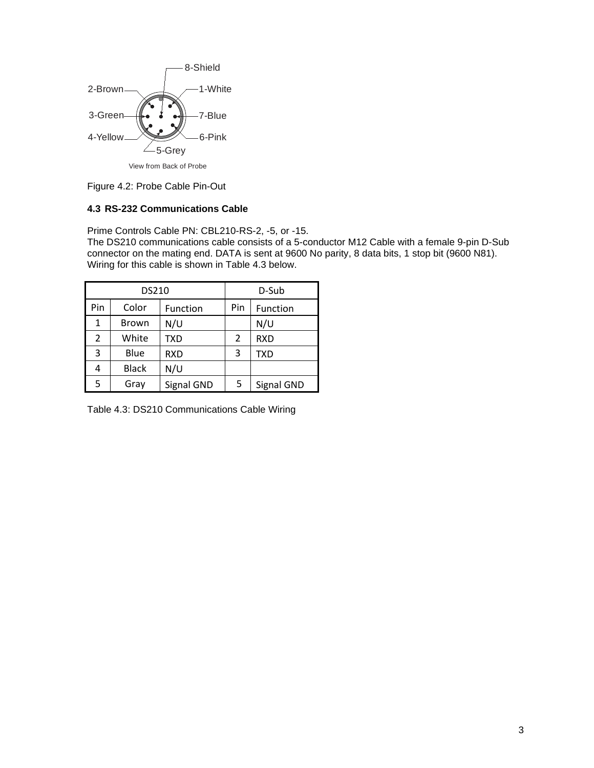

Figure 4.2: Probe Cable Pin-Out

# **4.3 RS-232 Communications Cable**

Prime Controls Cable PN: CBL210-RS-2, -5, or -15.

The DS210 communications cable consists of a 5-conductor M12 Cable with a female 9-pin D-Sub connector on the mating end. DATA is sent at 9600 No parity, 8 data bits, 1 stop bit (9600 N81). Wiring for this cable is shown in Table 4.3 below.

|     | <b>DS210</b> | D-Sub      |     |            |
|-----|--------------|------------|-----|------------|
| Pin | Color        | Function   | Pin | Function   |
| 1   | <b>Brown</b> | N/U        |     | N/U        |
| 2   | White        | <b>TXD</b> | 2   | <b>RXD</b> |
| 3   | Blue         | <b>RXD</b> | 3   | <b>TXD</b> |
| 4   | <b>Black</b> | N/U        |     |            |
| 5   | Gray         | Signal GND | 5   | Signal GND |

Table 4.3: DS210 Communications Cable Wiring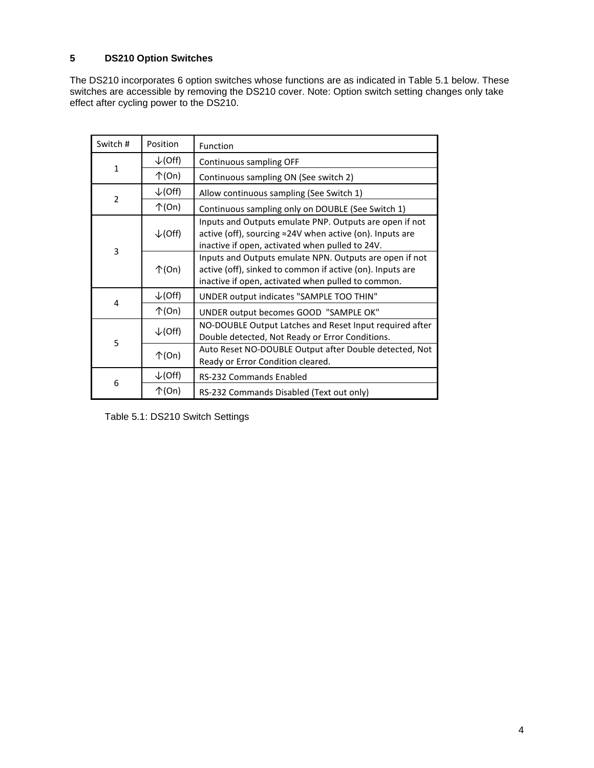# <span id="page-5-0"></span>**5 DS210 Option Switches**

The DS210 incorporates 6 option switches whose functions are as indicated in Table 5.1 below. These switches are accessible by removing the DS210 cover. Note: Option switch setting changes only take effect after cycling power to the DS210.

| Switch #       | Position           | Function                                                                                                                                                                   |
|----------------|--------------------|----------------------------------------------------------------------------------------------------------------------------------------------------------------------------|
|                | $\downarrow$ (Off) | Continuous sampling OFF                                                                                                                                                    |
| $\mathbf{1}$   | $\uparrow$ (On)    | Continuous sampling ON (See switch 2)                                                                                                                                      |
| $\overline{2}$ | $\downarrow$ (Off) | Allow continuous sampling (See Switch 1)                                                                                                                                   |
|                | $\uparrow$ (On)    | Continuous sampling only on DOUBLE (See Switch 1)                                                                                                                          |
|                | $\downarrow$ (Off) | Inputs and Outputs emulate PNP. Outputs are open if not<br>active (off), sourcing ≈24V when active (on). Inputs are<br>inactive if open, activated when pulled to 24V.     |
| 3              | $\uparrow$ (On)    | Inputs and Outputs emulate NPN. Outputs are open if not<br>active (off), sinked to common if active (on). Inputs are<br>inactive if open, activated when pulled to common. |
|                | $\downarrow$ (Off) | UNDER output indicates "SAMPLE TOO THIN"                                                                                                                                   |
| 4              | $\uparrow$ (On)    | UNDER output becomes GOOD "SAMPLE OK"                                                                                                                                      |
| 5              | $\downarrow$ (Off) | NO-DOUBLE Output Latches and Reset Input required after<br>Double detected, Not Ready or Error Conditions.                                                                 |
|                | $\uparrow$ (On)    | Auto Reset NO-DOUBLE Output after Double detected, Not<br>Ready or Error Condition cleared.                                                                                |
| 6              | $\downarrow$ (Off) | RS-232 Commands Enabled                                                                                                                                                    |
|                | $\uparrow$ (On)    | RS-232 Commands Disabled (Text out only)                                                                                                                                   |

Table 5.1: DS210 Switch Settings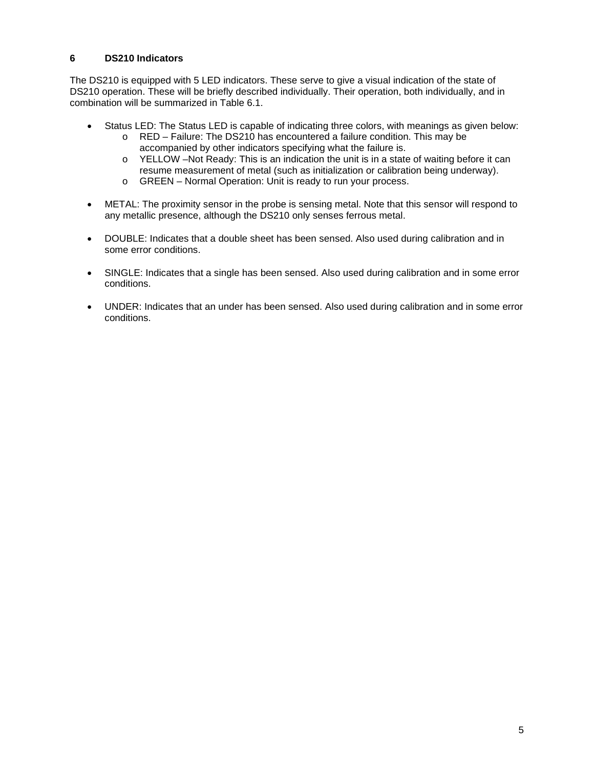## <span id="page-6-0"></span>**6 DS210 Indicators**

The DS210 is equipped with 5 LED indicators. These serve to give a visual indication of the state of DS210 operation. These will be briefly described individually. Their operation, both individually, and in combination will be summarized in Table 6.1.

- Status LED: The Status LED is capable of indicating three colors, with meanings as given below:
	- o RED Failure: The DS210 has encountered a failure condition. This may be accompanied by other indicators specifying what the failure is.
	- o YELLOW –Not Ready: This is an indication the unit is in a state of waiting before it can resume measurement of metal (such as initialization or calibration being underway).
	- o GREEN Normal Operation: Unit is ready to run your process.
- METAL: The proximity sensor in the probe is sensing metal. Note that this sensor will respond to any metallic presence, although the DS210 only senses ferrous metal.
- DOUBLE: Indicates that a double sheet has been sensed. Also used during calibration and in some error conditions.
- SINGLE: Indicates that a single has been sensed. Also used during calibration and in some error conditions.
- UNDER: Indicates that an under has been sensed. Also used during calibration and in some error conditions.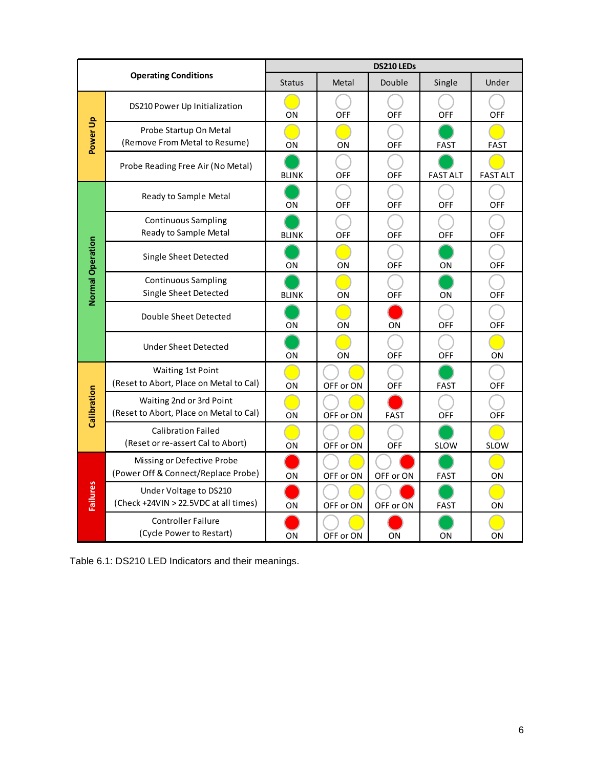|                         |                                                                     | DS210 LEDs    |            |             |                 |                 |  |
|-------------------------|---------------------------------------------------------------------|---------------|------------|-------------|-----------------|-----------------|--|
|                         | <b>Operating Conditions</b>                                         | <b>Status</b> | Metal      | Double      | Single          | Under           |  |
|                         | DS210 Power Up Initialization                                       | ON            | <b>OFF</b> | <b>OFF</b>  | <b>OFF</b>      | OFF             |  |
| Power Up                | Probe Startup On Metal<br>(Remove From Metal to Resume)             | ON            | ON         | OFF         | <b>FAST</b>     | <b>FAST</b>     |  |
|                         | Probe Reading Free Air (No Metal)                                   | <b>BLINK</b>  | OFF        | OFF         | <b>FAST ALT</b> | <b>FAST ALT</b> |  |
|                         | Ready to Sample Metal                                               | ON            | <b>OFF</b> | <b>OFF</b>  | <b>OFF</b>      | <b>OFF</b>      |  |
|                         | <b>Continuous Sampling</b><br>Ready to Sample Metal                 | <b>BLINK</b>  | OFF        | OFF         | <b>OFF</b>      | OFF             |  |
| <b>Normal Operation</b> | Single Sheet Detected                                               | ΟN            | ON         | OFF         | ON              | <b>OFF</b>      |  |
|                         | <b>Continuous Sampling</b><br>Single Sheet Detected                 | <b>BLINK</b>  | ON         | <b>OFF</b>  | ON              | <b>OFF</b>      |  |
|                         | Double Sheet Detected                                               | ON            | ΟN         | ΟN          | <b>OFF</b>      | OFF             |  |
|                         | <b>Under Sheet Detected</b>                                         | ON            | ON         | OFF         | OFF             | ON              |  |
|                         | Waiting 1st Point<br>(Reset to Abort, Place on Metal to Cal)        | ON            | OFF or ON  | <b>OFF</b>  | FAST            | <b>OFF</b>      |  |
| Calibration             | Waiting 2nd or 3rd Point<br>(Reset to Abort, Place on Metal to Cal) | ON            | OFF or ON  | <b>FAST</b> | <b>OFF</b>      | <b>OFF</b>      |  |
|                         | <b>Calibration Failed</b><br>(Reset or re-assert Cal to Abort)      | ON            | OFF or ON  | <b>OFF</b>  | <b>SLOW</b>     | <b>SLOW</b>     |  |
|                         | Missing or Defective Probe<br>(Power Off & Connect/Replace Probe)   | ON            | OFF or ON  | OFF or ON   | <b>FAST</b>     | ON              |  |
| Failures                | Under Voltage to DS210<br>(Check +24VIN > 22.5VDC at all times)     | ON            | OFF or ON  | OFF or ON   | <b>FAST</b>     | ON              |  |
|                         | <b>Controller Failure</b><br>(Cycle Power to Restart)               | ON            | OFF or ON  | ON          | ON              | ON              |  |

| Table 6.1: DS210 LED Indicators and their meanings. |  |  |
|-----------------------------------------------------|--|--|
|                                                     |  |  |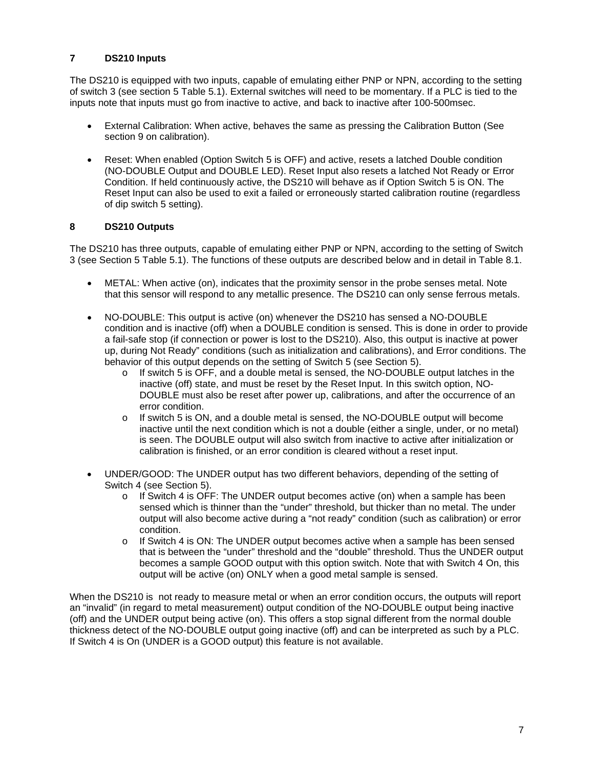# <span id="page-8-0"></span>**7 DS210 Inputs**

The DS210 is equipped with two inputs, capable of emulating either PNP or NPN, according to the setting of switch 3 (see section 5 Table 5.1). External switches will need to be momentary. If a PLC is tied to the inputs note that inputs must go from inactive to active, and back to inactive after 100-500msec.

- External Calibration: When active, behaves the same as pressing the Calibration Button (See section 9 on calibration).
- Reset: When enabled (Option Switch 5 is OFF) and active, resets a latched Double condition (NO-DOUBLE Output and DOUBLE LED). Reset Input also resets a latched Not Ready or Error Condition. If held continuously active, the DS210 will behave as if Option Switch 5 is ON. The Reset Input can also be used to exit a failed or erroneously started calibration routine (regardless of dip switch 5 setting).

## <span id="page-8-1"></span>**8 DS210 Outputs**

The DS210 has three outputs, capable of emulating either PNP or NPN, according to the setting of Switch 3 (see Section 5 Table 5.1). The functions of these outputs are described below and in detail in Table 8.1.

- METAL: When active (on), indicates that the proximity sensor in the probe senses metal. Note that this sensor will respond to any metallic presence. The DS210 can only sense ferrous metals.
- NO-DOUBLE: This output is active (on) whenever the DS210 has sensed a NO-DOUBLE condition and is inactive (off) when a DOUBLE condition is sensed. This is done in order to provide a fail-safe stop (if connection or power is lost to the DS210). Also, this output is inactive at power up, during Not Ready" conditions (such as initialization and calibrations), and Error conditions. The behavior of this output depends on the setting of Switch 5 (see Section 5).
	- $\circ$  If switch 5 is OFF, and a double metal is sensed, the NO-DOUBLE output latches in the inactive (off) state, and must be reset by the Reset Input. In this switch option, NO-DOUBLE must also be reset after power up, calibrations, and after the occurrence of an error condition.
	- $\circ$  If switch 5 is ON, and a double metal is sensed, the NO-DOUBLE output will become inactive until the next condition which is not a double (either a single, under, or no metal) is seen. The DOUBLE output will also switch from inactive to active after initialization or calibration is finished, or an error condition is cleared without a reset input.
- UNDER/GOOD: The UNDER output has two different behaviors, depending of the setting of Switch 4 (see Section 5).
	- $\circ$  If Switch 4 is OFF: The UNDER output becomes active (on) when a sample has been sensed which is thinner than the "under" threshold, but thicker than no metal. The under output will also become active during a "not ready" condition (such as calibration) or error condition.
	- $\circ$  If Switch 4 is ON: The UNDER output becomes active when a sample has been sensed that is between the "under" threshold and the "double" threshold. Thus the UNDER output becomes a sample GOOD output with this option switch. Note that with Switch 4 On, this output will be active (on) ONLY when a good metal sample is sensed.

When the DS210 is not ready to measure metal or when an error condition occurs, the outputs will report an "invalid" (in regard to metal measurement) output condition of the NO-DOUBLE output being inactive (off) and the UNDER output being active (on). This offers a stop signal different from the normal double thickness detect of the NO-DOUBLE output going inactive (off) and can be interpreted as such by a PLC. If Switch 4 is On (UNDER is a GOOD output) this feature is not available.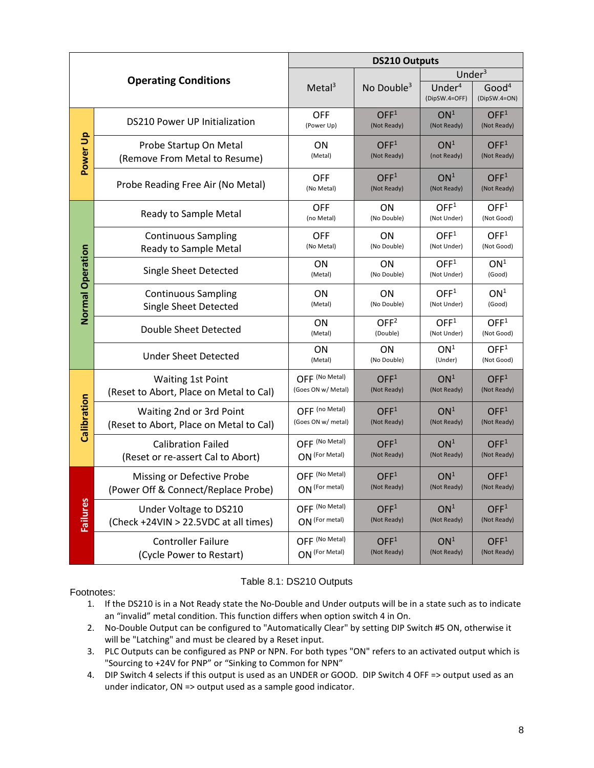|                         |                                                                     | <b>DS210 Outputs</b>                 |                                 |                                 |                                   |  |  |
|-------------------------|---------------------------------------------------------------------|--------------------------------------|---------------------------------|---------------------------------|-----------------------------------|--|--|
|                         | <b>Operating Conditions</b>                                         |                                      |                                 | Under $3$                       |                                   |  |  |
|                         |                                                                     | Meta <sup>3</sup>                    | No Double $3$                   | Under $4$<br>(DipSW.4=OFF)      | Good <sup>4</sup><br>(DipSW.4=ON) |  |  |
|                         | <b>DS210 Power UP Initialization</b>                                | <b>OFF</b><br>(Power Up)             | OFF <sup>1</sup><br>(Not Ready) | ON <sup>1</sup><br>(Not Ready)  | OFF <sup>1</sup><br>(Not Ready)   |  |  |
| Power Up                | Probe Startup On Metal<br>(Remove From Metal to Resume)             | <b>ON</b><br>(Metal)                 | OFF <sup>1</sup><br>(Not Ready) | ON <sup>1</sup><br>(not Ready)  | OFF <sup>1</sup><br>(Not Ready)   |  |  |
|                         | Probe Reading Free Air (No Metal)                                   | <b>OFF</b><br>(No Metal)             | OFF <sup>1</sup><br>(Not Ready) | ON <sup>1</sup><br>(Not Ready)  | OFF <sup>1</sup><br>(Not Ready)   |  |  |
|                         | Ready to Sample Metal                                               | <b>OFF</b><br>(no Metal)             | ON<br>(No Double)               | OFF <sup>1</sup><br>(Not Under) | OFF <sup>1</sup><br>(Not Good)    |  |  |
|                         | <b>Continuous Sampling</b><br>Ready to Sample Metal                 | <b>OFF</b><br>(No Metal)             | ON<br>(No Double)               | OFF <sup>1</sup><br>(Not Under) | OFF <sup>1</sup><br>(Not Good)    |  |  |
|                         | Single Sheet Detected                                               | ON<br>(Metal)                        | ON<br>(No Double)               | OFF <sup>1</sup><br>(Not Under) | ON <sup>1</sup><br>(Good)         |  |  |
| <b>Normal Operation</b> | <b>Continuous Sampling</b><br>Single Sheet Detected                 | <b>ON</b><br>(Metal)                 | <b>ON</b><br>(No Double)        | OFF <sup>1</sup><br>(Not Under) | ON <sup>1</sup><br>(Good)         |  |  |
|                         | Double Sheet Detected                                               | ON<br>(Metal)                        | OFF <sup>2</sup><br>(Double)    | OFF <sup>1</sup><br>(Not Under) | OFF <sup>1</sup><br>(Not Good)    |  |  |
|                         | <b>Under Sheet Detected</b>                                         | <b>ON</b><br>(Metal)                 | <b>ON</b><br>(No Double)        | ON <sup>1</sup><br>(Under)      | OFF <sup>1</sup><br>(Not Good)    |  |  |
|                         | <b>Waiting 1st Point</b><br>(Reset to Abort, Place on Metal to Cal) | OFF (No Metal)<br>(Goes ON w/ Metal) | OFF <sup>1</sup><br>(Not Ready) | ON <sup>1</sup><br>(Not Ready)  | OFF <sup>1</sup><br>(Not Ready)   |  |  |
| Calibration             | Waiting 2nd or 3rd Point<br>(Reset to Abort, Place on Metal to Cal) | OFF (no Metal)<br>(Goes ON w/ metal) | OFF <sup>1</sup><br>(Not Ready) | ON <sup>1</sup><br>(Not Ready)  | OFF <sup>1</sup><br>(Not Ready)   |  |  |
|                         | <b>Calibration Failed</b><br>(Reset or re-assert Cal to Abort)      | OFF (No Metal)<br>ON (For Metal)     | OFF <sup>1</sup><br>(Not Ready) | ON <sup>1</sup><br>(Not Ready)  | OFF <sup>1</sup><br>(Not Ready)   |  |  |
|                         | Missing or Defective Probe<br>(Power Off & Connect/Replace Probe)   | OFF (No Metal)<br>ON (For metal)     | OFF <sup>1</sup><br>(Not Ready) | ON <sup>1</sup><br>(Not Ready)  | OFF <sup>1</sup><br>(Not Ready)   |  |  |
| <b>Failures</b>         | Under Voltage to DS210<br>(Check +24VIN > 22.5VDC at all times)     | OFF (No Metal)<br>ON (For metal)     | OFF <sup>1</sup><br>(Not Ready) | ON <sup>1</sup><br>(Not Ready)  | OFF <sup>1</sup><br>(Not Ready)   |  |  |
|                         | <b>Controller Failure</b><br>(Cycle Power to Restart)               | OFF (No Metal)<br>ON (For Metal)     | OFF <sup>1</sup><br>(Not Ready) | ON <sup>1</sup><br>(Not Ready)  | OFF <sup>1</sup><br>(Not Ready)   |  |  |

## Table 8.1: DS210 Outputs

Footnotes:

- 1. If the DS210 is in a Not Ready state the No-Double and Under outputs will be in a state such as to indicate an "invalid" metal condition. This function differs when option switch 4 in On.
- 2. No-Double Output can be configured to "Automatically Clear" by setting DIP Switch #5 ON, otherwise it will be "Latching" and must be cleared by a Reset input.
- 3. PLC Outputs can be configured as PNP or NPN. For both types "ON" refers to an activated output which is "Sourcing to +24V for PNP" or "Sinking to Common for NPN"
- 4. DIP Switch 4 selects if this output is used as an UNDER or GOOD. DIP Switch 4 OFF => output used as an under indicator, ON => output used as a sample good indicator.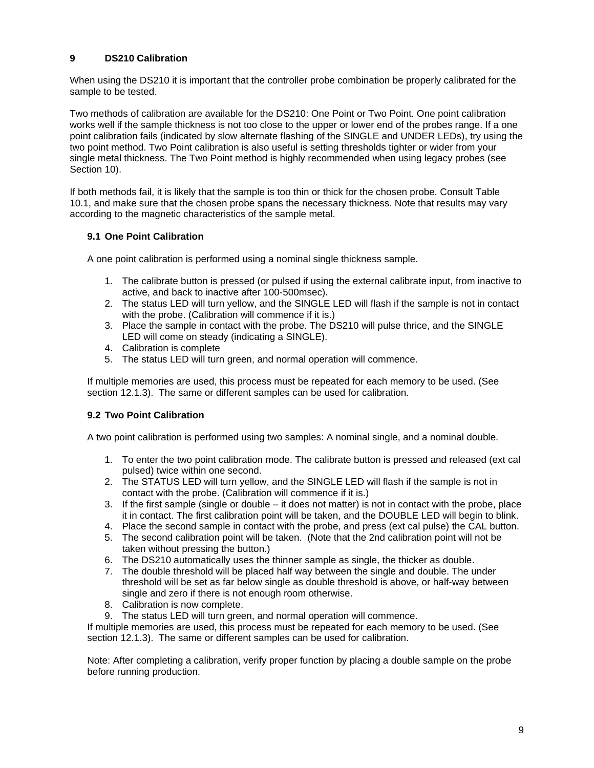# <span id="page-10-0"></span>**9 DS210 Calibration**

When using the DS210 it is important that the controller probe combination be properly calibrated for the sample to be tested.

Two methods of calibration are available for the DS210: One Point or Two Point. One point calibration works well if the sample thickness is not too close to the upper or lower end of the probes range. If a one point calibration fails (indicated by slow alternate flashing of the SINGLE and UNDER LEDs), try using the two point method. Two Point calibration is also useful is setting thresholds tighter or wider from your single metal thickness. The Two Point method is highly recommended when using legacy probes (see Section 10).

If both methods fail, it is likely that the sample is too thin or thick for the chosen probe. Consult Table 10.1, and make sure that the chosen probe spans the necessary thickness. Note that results may vary according to the magnetic characteristics of the sample metal.

## **9.1 One Point Calibration**

A one point calibration is performed using a nominal single thickness sample.

- 1. The calibrate button is pressed (or pulsed if using the external calibrate input, from inactive to active, and back to inactive after 100-500msec).
- 2. The status LED will turn yellow, and the SINGLE LED will flash if the sample is not in contact with the probe. (Calibration will commence if it is.)
- 3. Place the sample in contact with the probe. The DS210 will pulse thrice, and the SINGLE LED will come on steady (indicating a SINGLE).
- 4. Calibration is complete
- 5. The status LED will turn green, and normal operation will commence.

If multiple memories are used, this process must be repeated for each memory to be used. (See section 12.1.3). The same or different samples can be used for calibration.

## **9.2 Two Point Calibration**

A two point calibration is performed using two samples: A nominal single, and a nominal double.

- 1. To enter the two point calibration mode. The calibrate button is pressed and released (ext cal pulsed) twice within one second.
- 2. The STATUS LED will turn yellow, and the SINGLE LED will flash if the sample is not in contact with the probe. (Calibration will commence if it is.)
- 3. If the first sample (single or double it does not matter) is not in contact with the probe, place it in contact. The first calibration point will be taken, and the DOUBLE LED will begin to blink.
- 4. Place the second sample in contact with the probe, and press (ext cal pulse) the CAL button.
- 5. The second calibration point will be taken. (Note that the 2nd calibration point will not be taken without pressing the button.)
- 6. The DS210 automatically uses the thinner sample as single, the thicker as double.
- 7. The double threshold will be placed half way between the single and double. The under threshold will be set as far below single as double threshold is above, or half-way between single and zero if there is not enough room otherwise.
- 8. Calibration is now complete.
- 9. The status LED will turn green, and normal operation will commence.

If multiple memories are used, this process must be repeated for each memory to be used. (See section 12.1.3). The same or different samples can be used for calibration.

Note: After completing a calibration, verify proper function by placing a double sample on the probe before running production.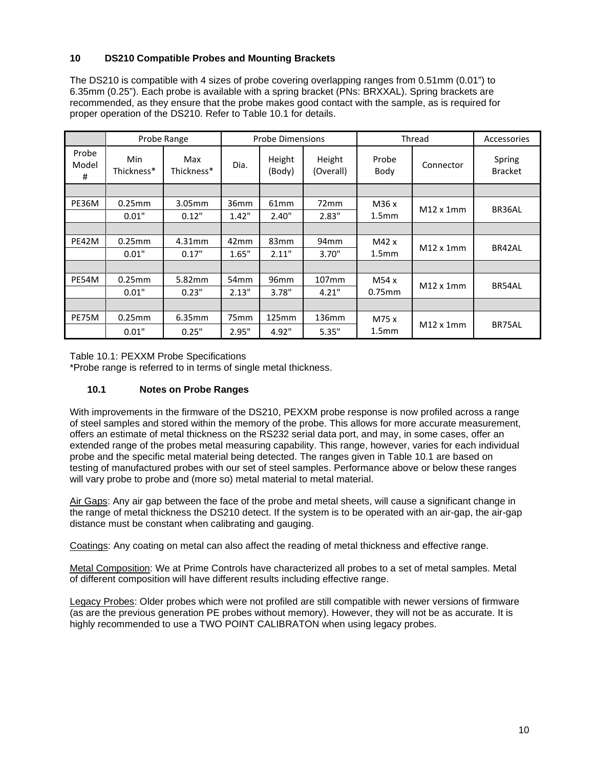# <span id="page-11-0"></span>**10 DS210 Compatible Probes and Mounting Brackets**

The DS210 is compatible with 4 sizes of probe covering overlapping ranges from 0.51mm (0.01") to 6.35mm (0.25"). Each probe is available with a spring bracket (PNs: BRXXAL). Spring brackets are recommended, as they ensure that the probe makes good contact with the sample, as is required for proper operation of the DS210. Refer to Table 10.1 for details.

|                     | Probe Range       |                   | <b>Probe Dimensions</b> |                  | Thread              |                   | Accessories       |                          |
|---------------------|-------------------|-------------------|-------------------------|------------------|---------------------|-------------------|-------------------|--------------------------|
| Probe<br>Model<br># | Min<br>Thickness* | Max<br>Thickness* | Dia.                    | Height<br>(Body) | Height<br>(Overall) | Probe<br>Body     | Connector         | Spring<br><b>Bracket</b> |
|                     |                   |                   |                         |                  |                     |                   |                   |                          |
| PE36M               | $0.25$ mm         | 3.05mm            | 36mm                    | 61 <sub>mm</sub> | 72mm                | M36x              |                   |                          |
|                     | 0.01"             | 0.12"             | 1.42"                   | 2.40"            | 2.83"               | 1.5 <sub>mm</sub> | $M12 \times 1$ mm | BR36AL                   |
|                     |                   |                   |                         |                  |                     |                   |                   |                          |
| PE42M               | $0.25$ mm         | 4.31mm            | 42 <sub>mm</sub>        | 83 <sub>mm</sub> | 94 <sub>mm</sub>    | M42x              | $M12 \times 1$ mm |                          |
|                     | 0.01"             | 0.17"             | 1.65"                   | 2.11"            | 3.70"               | 1.5 <sub>mm</sub> |                   | BR42AL                   |
|                     |                   |                   |                         |                  |                     |                   |                   |                          |
| PE54M               | 0.25mm            | 5.82mm            | 54 <sub>mm</sub>        | 96mm             | 107 <sub>mm</sub>   | M54 x             | $M12 \times 1$ mm | BR54AL                   |
|                     | 0.01"             | 0.23"             | 2.13"                   | 3.78"            | 4.21"               | $0.75$ mm         |                   |                          |
|                     |                   |                   |                         |                  |                     |                   |                   |                          |
| PE75M               | $0.25$ mm         | 6.35mm            | 75mm                    | 125mm            | 136mm               | M75 x             |                   |                          |
|                     | 0.01"             | 0.25"             | 2.95"                   | 4.92"            | 5.35"               | 1.5 <sub>mm</sub> | $M12 \times 1$ mm | BR75AL                   |

Table 10.1: PEXXM Probe Specifications

\*Probe range is referred to in terms of single metal thickness.

## **10.1 Notes on Probe Ranges**

With improvements in the firmware of the DS210, PEXXM probe response is now profiled across a range of steel samples and stored within the memory of the probe. This allows for more accurate measurement, offers an estimate of metal thickness on the RS232 serial data port, and may, in some cases, offer an extended range of the probes metal measuring capability. This range, however, varies for each individual probe and the specific metal material being detected. The ranges given in Table 10.1 are based on testing of manufactured probes with our set of steel samples. Performance above or below these ranges will vary probe to probe and (more so) metal material to metal material.

Air Gaps: Any air gap between the face of the probe and metal sheets, will cause a significant change in the range of metal thickness the DS210 detect. If the system is to be operated with an air-gap, the air-gap distance must be constant when calibrating and gauging.

Coatings: Any coating on metal can also affect the reading of metal thickness and effective range.

Metal Composition: We at Prime Controls have characterized all probes to a set of metal samples. Metal of different composition will have different results including effective range.

Legacy Probes: Older probes which were not profiled are still compatible with newer versions of firmware (as are the previous generation PE probes without memory). However, they will not be as accurate. It is highly recommended to use a TWO POINT CALIBRATON when using legacy probes.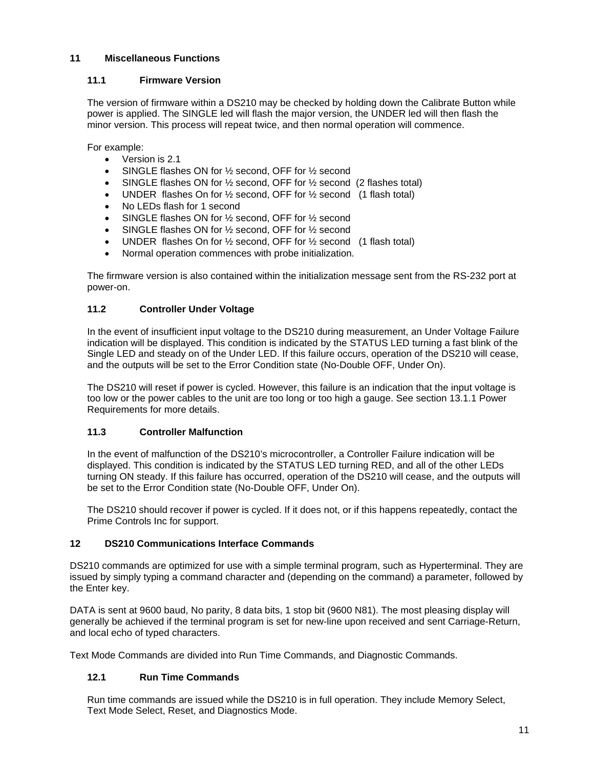## <span id="page-12-0"></span>**11 Miscellaneous Functions**

## **11.1 Firmware Version**

The version of firmware within a DS210 may be checked by holding down the Calibrate Button while power is applied. The SINGLE led will flash the major version, the UNDER led will then flash the minor version. This process will repeat twice, and then normal operation will commence.

For example:

- Version is 2.1
- SINGLE flashes ON for 1/2 second, OFF for 1/2 second
- SINGLE flashes ON for  $\frac{1}{2}$  second, OFF for  $\frac{1}{2}$  second (2 flashes total)
- UNDER flashes On for 1/2 second, OFF for 1/2 second (1 flash total)
- No LEDs flash for 1 second
- SINGLE flashes ON for 1/2 second, OFF for 1/2 second
- SINGLE flashes ON for 1/2 second, OFF for 1/2 second
- UNDER flashes On for 1/2 second, OFF for 1/2 second (1 flash total)
- Normal operation commences with probe initialization.

The firmware version is also contained within the initialization message sent from the RS-232 port at power-on.

# **11.2 Controller Under Voltage**

In the event of insufficient input voltage to the DS210 during measurement, an Under Voltage Failure indication will be displayed. This condition is indicated by the STATUS LED turning a fast blink of the Single LED and steady on of the Under LED. If this failure occurs, operation of the DS210 will cease, and the outputs will be set to the Error Condition state (No-Double OFF, Under On).

The DS210 will reset if power is cycled. However, this failure is an indication that the input voltage is too low or the power cables to the unit are too long or too high a gauge. See section [13.1.1](#page-18-2) Power Requirements for more details.

## **11.3 Controller Malfunction**

In the event of malfunction of the DS210's microcontroller, a Controller Failure indication will be displayed. This condition is indicated by the STATUS LED turning RED, and all of the other LEDs turning ON steady. If this failure has occurred, operation of the DS210 will cease, and the outputs will be set to the Error Condition state (No-Double OFF, Under On).

The DS210 should recover if power is cycled. If it does not, or if this happens repeatedly, contact the Prime Controls Inc for support.

## <span id="page-12-1"></span>**12 DS210 Communications Interface Commands**

DS210 commands are optimized for use with a simple terminal program, such as Hyperterminal. They are issued by simply typing a command character and (depending on the command) a parameter, followed by the Enter key.

DATA is sent at 9600 baud, No parity, 8 data bits, 1 stop bit (9600 N81). The most pleasing display will generally be achieved if the terminal program is set for new-line upon received and sent Carriage-Return, and local echo of typed characters.

Text Mode Commands are divided into Run Time Commands, and Diagnostic Commands.

## **12.1 Run Time Commands**

Run time commands are issued while the DS210 is in full operation. They include Memory Select, Text Mode Select, Reset, and Diagnostics Mode.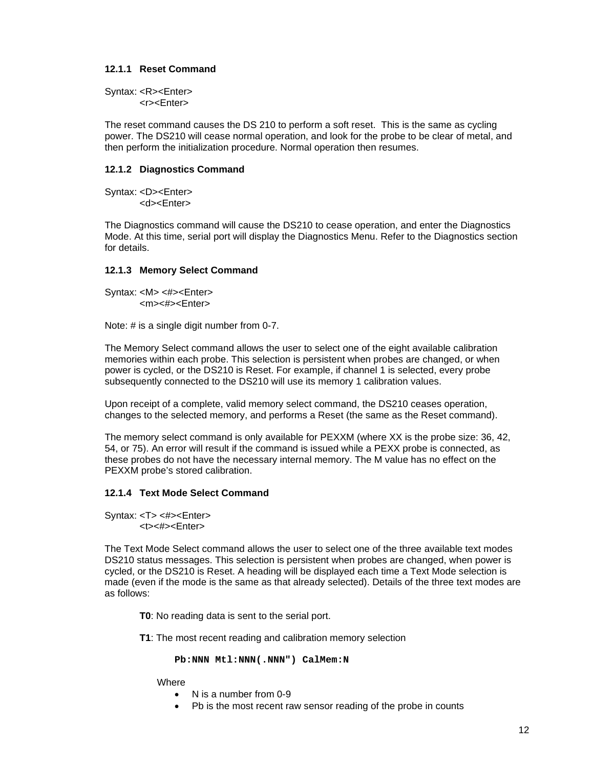## **12.1.1 Reset Command**

Syntax: <R><Enter> <r><Enter>

The reset command causes the DS 210 to perform a soft reset. This is the same as cycling power. The DS210 will cease normal operation, and look for the probe to be clear of metal, and then perform the initialization procedure. Normal operation then resumes.

## **12.1.2 Diagnostics Command**

Syntax: <D><Enter> <d><Enter>

The Diagnostics command will cause the DS210 to cease operation, and enter the Diagnostics Mode. At this time, serial port will display the Diagnostics Menu. Refer to the Diagnostics section for details.

## **12.1.3 Memory Select Command**

Syntax: <M> <#><Enter> <m><#><Enter>

Note: # is a single digit number from 0-7.

The Memory Select command allows the user to select one of the eight available calibration memories within each probe. This selection is persistent when probes are changed, or when power is cycled, or the DS210 is Reset. For example, if channel 1 is selected, every probe subsequently connected to the DS210 will use its memory 1 calibration values.

Upon receipt of a complete, valid memory select command, the DS210 ceases operation, changes to the selected memory, and performs a Reset (the same as the Reset command).

The memory select command is only available for PEXXM (where XX is the probe size: 36, 42, 54, or 75). An error will result if the command is issued while a PEXX probe is connected, as these probes do not have the necessary internal memory. The M value has no effect on the PEXXM probe's stored calibration.

#### **12.1.4 Text Mode Select Command**

Syntax: <T> <#><Enter> <t><#><Enter>

The Text Mode Select command allows the user to select one of the three available text modes DS210 status messages. This selection is persistent when probes are changed, when power is cycled, or the DS210 is Reset. A heading will be displayed each time a Text Mode selection is made (even if the mode is the same as that already selected). Details of the three text modes are as follows:

**T0**: No reading data is sent to the serial port.

**T1**: The most recent reading and calibration memory selection

**Pb:NNN Mtl:NNN(.NNN") CalMem:N**

**Where** 

- N is a number from 0-9
- Pb is the most recent raw sensor reading of the probe in counts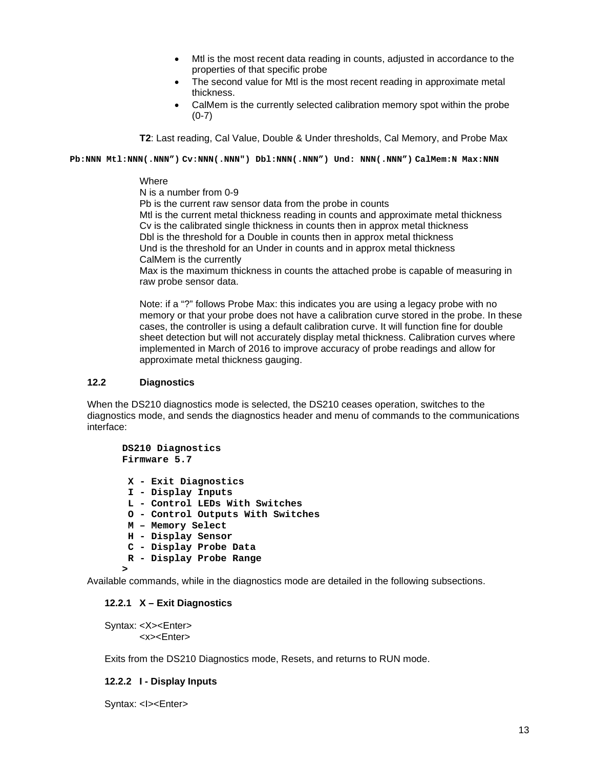- Mtl is the most recent data reading in counts, adjusted in accordance to the properties of that specific probe
- The second value for Mtl is the most recent reading in approximate metal thickness.
- CalMem is the currently selected calibration memory spot within the probe (0-7)

**T2**: Last reading, Cal Value, Double & Under thresholds, Cal Memory, and Probe Max

**Pb:NNN Mtl:NNN(.NNN") Cv:NNN(.NNN") Dbl:NNN(.NNN") Und: NNN(.NNN") CalMem:N Max:NNN**

#### **Where**

N is a number from 0-9

Pb is the current raw sensor data from the probe in counts Mtl is the current metal thickness reading in counts and approximate metal thickness Cv is the calibrated single thickness in counts then in approx metal thickness Dbl is the threshold for a Double in counts then in approx metal thickness Und is the threshold for an Under in counts and in approx metal thickness CalMem is the currently Max is the maximum thickness in counts the attached probe is capable of measuring in

raw probe sensor data.

Note: if a "?" follows Probe Max: this indicates you are using a legacy probe with no memory or that your probe does not have a calibration curve stored in the probe. In these cases, the controller is using a default calibration curve. It will function fine for double sheet detection but will not accurately display metal thickness. Calibration curves where implemented in March of 2016 to improve accuracy of probe readings and allow for approximate metal thickness gauging.

#### **12.2 Diagnostics**

When the DS210 diagnostics mode is selected, the DS210 ceases operation, switches to the diagnostics mode, and sends the diagnostics header and menu of commands to the communications interface:

**DS210 Diagnostics Firmware 5.7 X - Exit Diagnostics I - Display Inputs L - Control LEDs With Switches O - Control Outputs With Switches M – Memory Select H - Display Sensor C - Display Probe Data R - Display Probe Range >**

Available commands, while in the diagnostics mode are detailed in the following subsections.

#### **12.2.1 X – Exit Diagnostics**

Syntax: <X><Enter> <x><Enter>

Exits from the DS210 Diagnostics mode, Resets, and returns to RUN mode.

### **12.2.2 I - Display Inputs**

Syntax: <I><Enter>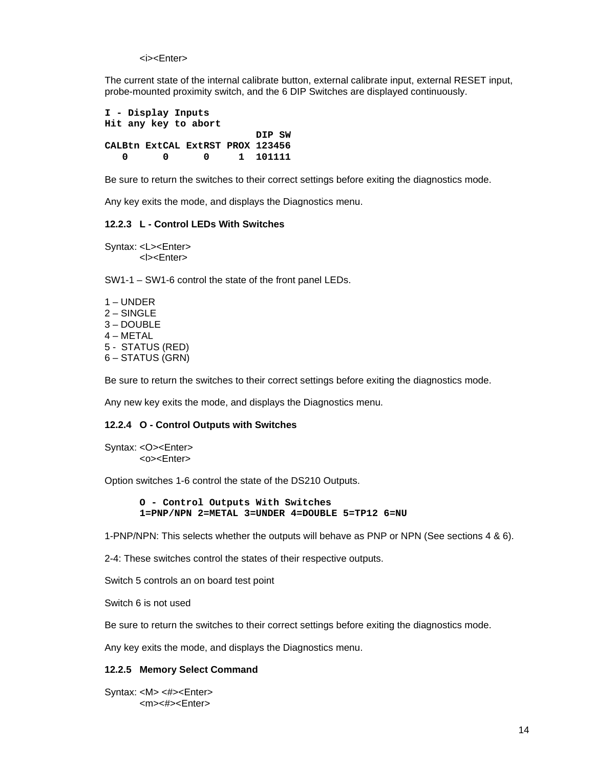<i><Fnter>

The current state of the internal calibrate button, external calibrate input, external RESET input, probe-mounted proximity switch, and the 6 DIP Switches are displayed continuously.

**I - Display Inputs Hit any key to abort DIP SW CALBtn ExtCAL ExtRST PROX 123456 0 0 0 1 101111**

Be sure to return the switches to their correct settings before exiting the diagnostics mode.

Any key exits the mode, and displays the Diagnostics menu.

## **12.2.3 L - Control LEDs With Switches**

Syntax: <L><Enter> <l><Enter>

SW1-1 – SW1-6 control the state of the front panel LEDs.

1 – UNDER 2 – SINGLE 3 – DOUBLE 4 – METAL 5 - STATUS (RED) 6 – STATUS (GRN)

Be sure to return the switches to their correct settings before exiting the diagnostics mode.

Any new key exits the mode, and displays the Diagnostics menu.

#### **12.2.4 O - Control Outputs with Switches**

Syntax: <O><Enter> <o><Enter>

Option switches 1-6 control the state of the DS210 Outputs.

```
O - Control Outputs With Switches
1=PNP/NPN 2=METAL 3=UNDER 4=DOUBLE 5=TP12 6=NU
```
1-PNP/NPN: This selects whether the outputs will behave as PNP or NPN (See sections 4 & 6).

2-4: These switches control the states of their respective outputs.

Switch 5 controls an on board test point

Switch 6 is not used

Be sure to return the switches to their correct settings before exiting the diagnostics mode.

Any key exits the mode, and displays the Diagnostics menu.

#### **12.2.5 Memory Select Command**

Syntax: <M> <#><Enter> <m><#><Enter>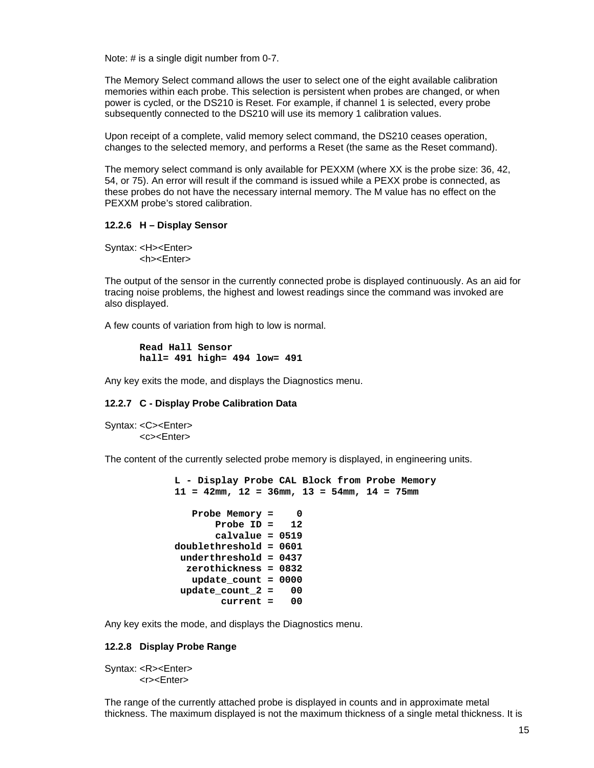Note: # is a single digit number from 0-7.

The Memory Select command allows the user to select one of the eight available calibration memories within each probe. This selection is persistent when probes are changed, or when power is cycled, or the DS210 is Reset. For example, if channel 1 is selected, every probe subsequently connected to the DS210 will use its memory 1 calibration values.

Upon receipt of a complete, valid memory select command, the DS210 ceases operation, changes to the selected memory, and performs a Reset (the same as the Reset command).

The memory select command is only available for PEXXM (where XX is the probe size: 36, 42, 54, or 75). An error will result if the command is issued while a PEXX probe is connected, as these probes do not have the necessary internal memory. The M value has no effect on the PEXXM probe's stored calibration.

#### **12.2.6 H – Display Sensor**

Syntax: <H><Enter> <h><Enter>

The output of the sensor in the currently connected probe is displayed continuously. As an aid for tracing noise problems, the highest and lowest readings since the command was invoked are also displayed.

A few counts of variation from high to low is normal.

```
Read Hall Sensor
hall= 491 high= 494 low= 491
```
Any key exits the mode, and displays the Diagnostics menu.

#### **12.2.7 C - Display Probe Calibration Data**

Syntax: <C><Enter> <c><Enter>

The content of the currently selected probe memory is displayed, in engineering units.

```
L - Display Probe CAL Block from Probe Memory
11 = 42mm, 12 = 36mm, 13 = 54mm, 14 = 75mm
   Probe Memory = 0
       Probe ID = 12
        calvalue = 0519
doublethreshold = 0601
 underthreshold = 0437
   zerothickness = 0832
   update_count = 0000
 update_count_2 = 00
         current = 00
```
Any key exits the mode, and displays the Diagnostics menu.

#### **12.2.8 Display Probe Range**

Syntax: <R><Enter> <r><Enter>

The range of the currently attached probe is displayed in counts and in approximate metal thickness. The maximum displayed is not the maximum thickness of a single metal thickness. It is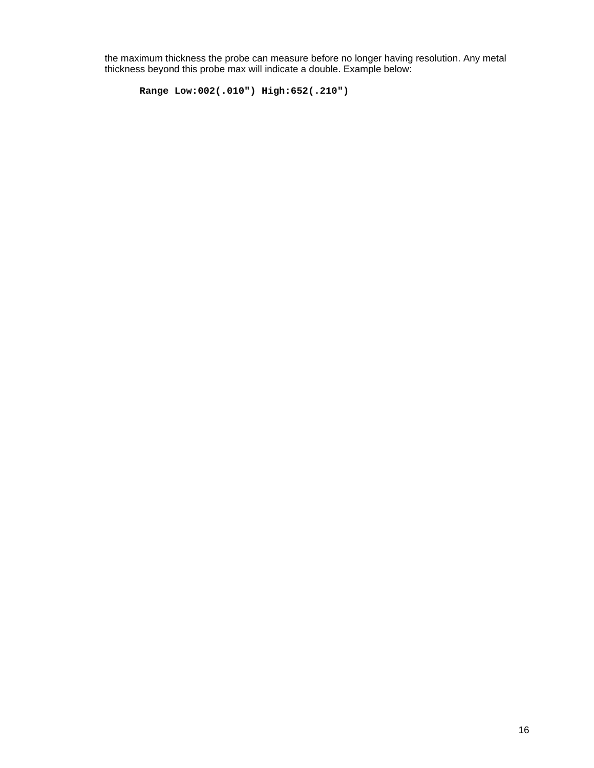the maximum thickness the probe can measure before no longer having resolution. Any metal thickness beyond this probe max will indicate a double. Example below:

```
Range Low:002(.010") High:652(.210")
```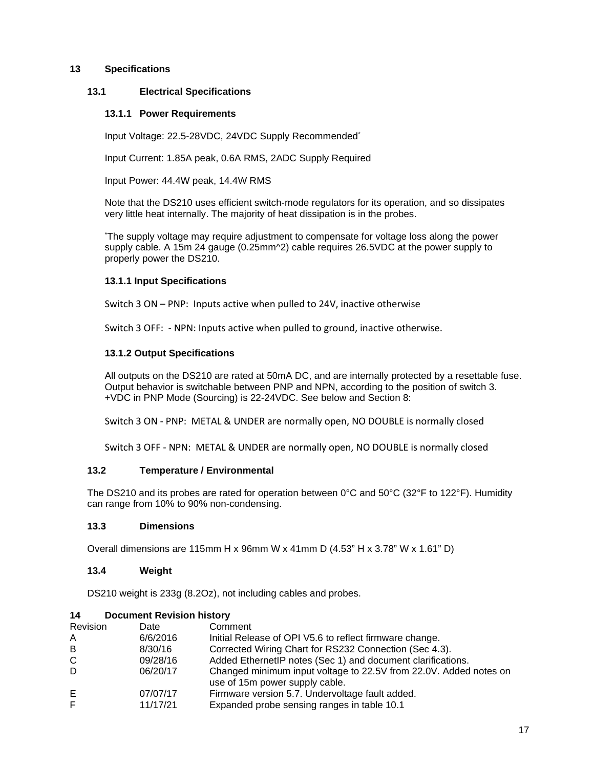## <span id="page-18-0"></span>**13 Specifications**

## <span id="page-18-2"></span>**13.1 Electrical Specifications**

## **13.1.1 Power Requirements**

Input Voltage: 22.5-28VDC, 24VDC Supply Recommended\*

Input Current: 1.85A peak, 0.6A RMS, 2ADC Supply Required

Input Power: 44.4W peak, 14.4W RMS

Note that the DS210 uses efficient switch-mode regulators for its operation, and so dissipates very little heat internally. The majority of heat dissipation is in the probes.

\* The supply voltage may require adjustment to compensate for voltage loss along the power supply cable. A 15m 24 gauge (0.25mm^2) cable requires 26.5VDC at the power supply to properly power the DS210.

## **13.1.1 Input Specifications**

Switch 3 ON – PNP: Inputs active when pulled to 24V, inactive otherwise

Switch 3 OFF: - NPN: Inputs active when pulled to ground, inactive otherwise.

## **13.1.2 Output Specifications**

All outputs on the DS210 are rated at 50mA DC, and are internally protected by a resettable fuse. Output behavior is switchable between PNP and NPN, according to the position of switch 3. +VDC in PNP Mode (Sourcing) is 22-24VDC. See below and Section 8:

Switch 3 ON - PNP: METAL & UNDER are normally open, NO DOUBLE is normally closed

Switch 3 OFF - NPN: METAL & UNDER are normally open, NO DOUBLE is normally closed

## **13.2 Temperature / Environmental**

The DS210 and its probes are rated for operation between  $0^{\circ}$ C and  $50^{\circ}$ C (32°F to 122°F). Humidity can range from 10% to 90% non-condensing.

## **13.3 Dimensions**

Overall dimensions are 115mm H x 96mm W x 41mm D (4.53" H x 3.78" W x 1.61" D)

## **13.4 Weight**

DS210 weight is 233g (8.2Oz), not including cables and probes.

## <span id="page-18-1"></span>**14 Document Revision history**

| Revision | Date     | Comment                                                                                             |
|----------|----------|-----------------------------------------------------------------------------------------------------|
| A        | 6/6/2016 | Initial Release of OPI V5.6 to reflect firmware change.                                             |
| B        | 8/30/16  | Corrected Wiring Chart for RS232 Connection (Sec 4.3).                                              |
| C        | 09/28/16 | Added EthernetIP notes (Sec 1) and document clarifications.                                         |
| D        | 06/20/17 | Changed minimum input voltage to 22.5V from 22.0V. Added notes on<br>use of 15m power supply cable. |
| Е        | 07/07/17 | Firmware version 5.7. Undervoltage fault added.                                                     |
| F        | 11/17/21 | Expanded probe sensing ranges in table 10.1                                                         |